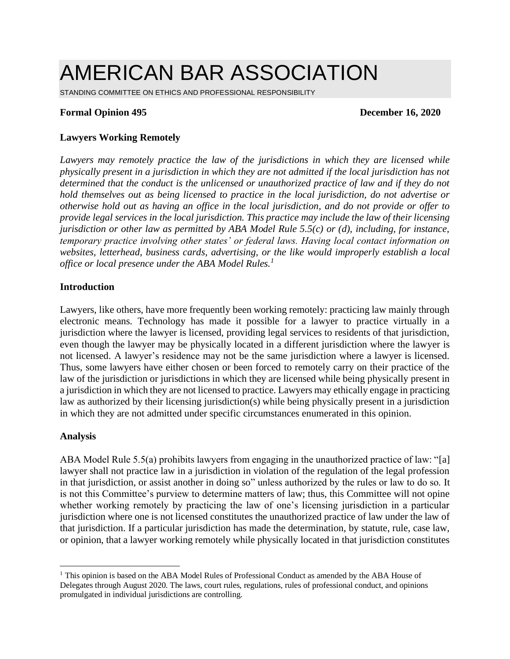# AMERICAN BAR ASSOCIATION

STANDING COMMITTEE ON ETHICS AND PROFESSIONAL RESPONSIBILITY

#### **Formal Opinion 495 December 16, 2020**

## **Lawyers Working Remotely**

Lawyers may remotely practice the law of the jurisdictions in which they are licensed while *physically present in a jurisdiction in which they are not admitted if the local jurisdiction has not determined that the conduct is the unlicensed or unauthorized practice of law and if they do not hold themselves out as being licensed to practice in the local jurisdiction, do not advertise or otherwise hold out as having an office in the local jurisdiction, and do not provide or offer to provide legal services in the local jurisdiction. This practice may include the law of their licensing jurisdiction or other law as permitted by ABA Model Rule 5.5(c) or (d), including, for instance, temporary practice involving other states' or federal laws. Having local contact information on websites, letterhead, business cards, advertising, or the like would improperly establish a local office or local presence under the ABA Model Rules.<sup>1</sup>*

#### **Introduction**

Lawyers, like others, have more frequently been working remotely: practicing law mainly through electronic means. Technology has made it possible for a lawyer to practice virtually in a jurisdiction where the lawyer is licensed, providing legal services to residents of that jurisdiction, even though the lawyer may be physically located in a different jurisdiction where the lawyer is not licensed. A lawyer's residence may not be the same jurisdiction where a lawyer is licensed. Thus, some lawyers have either chosen or been forced to remotely carry on their practice of the law of the jurisdiction or jurisdictions in which they are licensed while being physically present in a jurisdiction in which they are not licensed to practice. Lawyers may ethically engage in practicing law as authorized by their licensing jurisdiction(s) while being physically present in a jurisdiction in which they are not admitted under specific circumstances enumerated in this opinion.

#### **Analysis**

ABA Model Rule 5.5(a) prohibits lawyers from engaging in the unauthorized practice of law: "[a] lawyer shall not practice law in a jurisdiction in violation of the regulation of the legal profession in that jurisdiction, or assist another in doing so" unless authorized by the rules or law to do so. It is not this Committee's purview to determine matters of law; thus, this Committee will not opine whether working remotely by practicing the law of one's licensing jurisdiction in a particular jurisdiction where one is not licensed constitutes the unauthorized practice of law under the law of that jurisdiction. If a particular jurisdiction has made the determination, by statute, rule, case law, or opinion, that a lawyer working remotely while physically located in that jurisdiction constitutes

<sup>&</sup>lt;sup>1</sup> This opinion is based on the ABA Model Rules of Professional Conduct as amended by the ABA House of Delegates through August 2020. The laws, court rules, regulations, rules of professional conduct, and opinions promulgated in individual jurisdictions are controlling.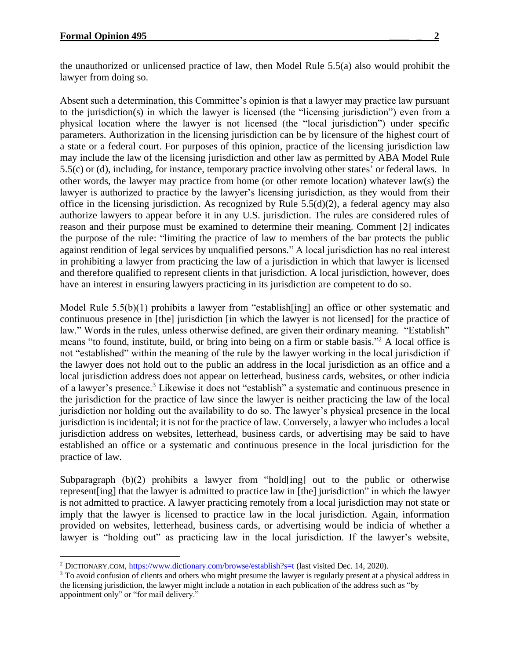the unauthorized or unlicensed practice of law, then Model Rule 5.5(a) also would prohibit the lawyer from doing so.

Absent such a determination, this Committee's opinion is that a lawyer may practice law pursuant to the jurisdiction(s) in which the lawyer is licensed (the "licensing jurisdiction") even from a physical location where the lawyer is not licensed (the "local jurisdiction") under specific parameters. Authorization in the licensing jurisdiction can be by licensure of the highest court of a state or a federal court. For purposes of this opinion, practice of the licensing jurisdiction law may include the law of the licensing jurisdiction and other law as permitted by ABA Model Rule 5.5(c) or (d), including, for instance, temporary practice involving other states' or federal laws. In other words, the lawyer may practice from home (or other remote location) whatever law(s) the lawyer is authorized to practice by the lawyer's licensing jurisdiction, as they would from their office in the licensing jurisdiction. As recognized by Rule  $5.5(d)(2)$ , a federal agency may also authorize lawyers to appear before it in any U.S. jurisdiction. The rules are considered rules of reason and their purpose must be examined to determine their meaning. Comment [2] indicates the purpose of the rule: "limiting the practice of law to members of the bar protects the public against rendition of legal services by unqualified persons." A local jurisdiction has no real interest in prohibiting a lawyer from practicing the law of a jurisdiction in which that lawyer is licensed and therefore qualified to represent clients in that jurisdiction. A local jurisdiction, however, does have an interest in ensuring lawyers practicing in its jurisdiction are competent to do so.

Model Rule 5.5(b)(1) prohibits a lawyer from "establish[ing] an office or other systematic and continuous presence in [the] jurisdiction [in which the lawyer is not licensed] for the practice of law." Words in the rules, unless otherwise defined, are given their ordinary meaning. "Establish" means "to found, institute, build, or bring into being on a firm or stable basis."<sup>2</sup> A local office is not "established" within the meaning of the rule by the lawyer working in the local jurisdiction if the lawyer does not hold out to the public an address in the local jurisdiction as an office and a local jurisdiction address does not appear on letterhead, business cards, websites, or other indicia of a lawyer's presence.<sup>3</sup> Likewise it does not "establish" a systematic and continuous presence in the jurisdiction for the practice of law since the lawyer is neither practicing the law of the local jurisdiction nor holding out the availability to do so. The lawyer's physical presence in the local jurisdiction is incidental; it is not for the practice of law. Conversely, a lawyer who includes a local jurisdiction address on websites, letterhead, business cards, or advertising may be said to have established an office or a systematic and continuous presence in the local jurisdiction for the practice of law.

Subparagraph (b)(2) prohibits a lawyer from "hold[ing] out to the public or otherwise represent [ing] that the lawyer is admitted to practice law in [the] jurisdiction" in which the lawyer is not admitted to practice. A lawyer practicing remotely from a local jurisdiction may not state or imply that the lawyer is licensed to practice law in the local jurisdiction. Again, information provided on websites, letterhead, business cards, or advertising would be indicia of whether a lawyer is "holding out" as practicing law in the local jurisdiction. If the lawyer's website,

<sup>&</sup>lt;sup>2</sup> DICTIONARY.COM, <https://www.dictionary.com/browse/establish?s=t> (last visited Dec. 14, 2020).

<sup>&</sup>lt;sup>3</sup> To avoid confusion of clients and others who might presume the lawyer is regularly present at a physical address in the licensing jurisdiction, the lawyer might include a notation in each publication of the address such as "by appointment only" or "for mail delivery."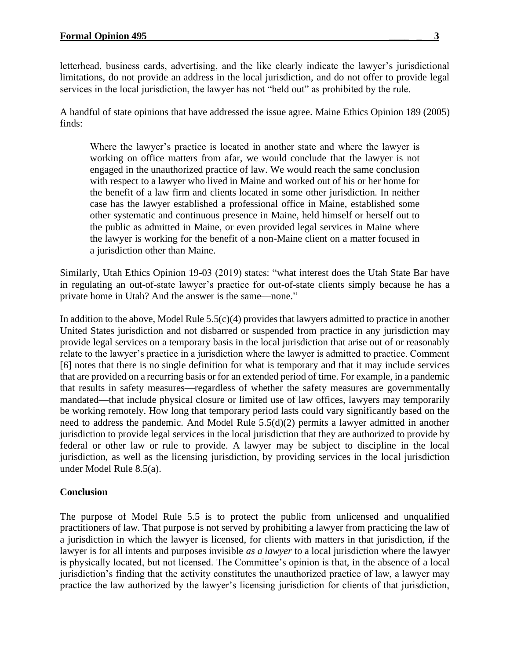letterhead, business cards, advertising, and the like clearly indicate the lawyer's jurisdictional limitations, do not provide an address in the local jurisdiction, and do not offer to provide legal services in the local jurisdiction, the lawyer has not "held out" as prohibited by the rule.

A handful of state opinions that have addressed the issue agree. Maine Ethics Opinion 189 (2005) finds:

Where the lawyer's practice is located in another state and where the lawyer is working on office matters from afar, we would conclude that the lawyer is not engaged in the unauthorized practice of law. We would reach the same conclusion with respect to a lawyer who lived in Maine and worked out of his or her home for the benefit of a law firm and clients located in some other jurisdiction. In neither case has the lawyer established a professional office in Maine, established some other systematic and continuous presence in Maine, held himself or herself out to the public as admitted in Maine, or even provided legal services in Maine where the lawyer is working for the benefit of a non-Maine client on a matter focused in a jurisdiction other than Maine.

Similarly, Utah Ethics Opinion 19-03 (2019) states: "what interest does the Utah State Bar have in regulating an out-of-state lawyer's practice for out-of-state clients simply because he has a private home in Utah? And the answer is the same—none."

In addition to the above, Model Rule  $5.5(c)(4)$  provides that lawyers admitted to practice in another United States jurisdiction and not disbarred or suspended from practice in any jurisdiction may provide legal services on a temporary basis in the local jurisdiction that arise out of or reasonably relate to the lawyer's practice in a jurisdiction where the lawyer is admitted to practice. Comment [6] notes that there is no single definition for what is temporary and that it may include services that are provided on a recurring basis or for an extended period of time. For example, in a pandemic that results in safety measures—regardless of whether the safety measures are governmentally mandated—that include physical closure or limited use of law offices, lawyers may temporarily be working remotely. How long that temporary period lasts could vary significantly based on the need to address the pandemic. And Model Rule 5.5(d)(2) permits a lawyer admitted in another jurisdiction to provide legal services in the local jurisdiction that they are authorized to provide by federal or other law or rule to provide. A lawyer may be subject to discipline in the local jurisdiction, as well as the licensing jurisdiction, by providing services in the local jurisdiction under Model Rule 8.5(a).

## **Conclusion**

The purpose of Model Rule 5.5 is to protect the public from unlicensed and unqualified practitioners of law. That purpose is not served by prohibiting a lawyer from practicing the law of a jurisdiction in which the lawyer is licensed, for clients with matters in that jurisdiction, if the lawyer is for all intents and purposes invisible *as a lawyer* to a local jurisdiction where the lawyer is physically located, but not licensed. The Committee's opinion is that, in the absence of a local jurisdiction's finding that the activity constitutes the unauthorized practice of law, a lawyer may practice the law authorized by the lawyer's licensing jurisdiction for clients of that jurisdiction,